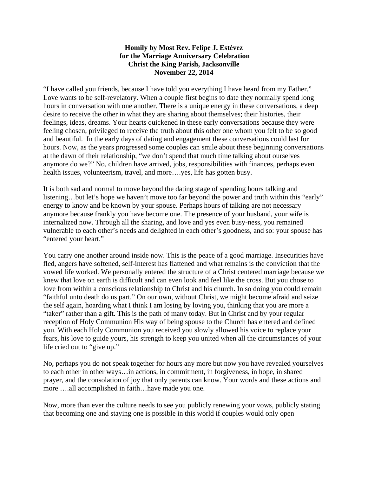## **Homily by Most Rev. Felipe J. Estévez for the Marriage Anniversary Celebration Christ the King Parish, Jacksonville November 22, 2014**

"I have called you friends, because I have told you everything I have heard from my Father." Love wants to be self-revelatory. When a couple first begins to date they normally spend long hours in conversation with one another. There is a unique energy in these conversations, a deep desire to receive the other in what they are sharing about themselves; their histories, their feelings, ideas, dreams. Your hearts quickened in these early conversations because they were feeling chosen, privileged to receive the truth about this other one whom you felt to be so good and beautiful. In the early days of dating and engagement these conversations could last for hours. Now, as the years progressed some couples can smile about these beginning conversations at the dawn of their relationship, "we don't spend that much time talking about ourselves anymore do we?" No, children have arrived, jobs, responsibilities with finances, perhaps even health issues, volunteerism, travel, and more….yes, life has gotten busy.

It is both sad and normal to move beyond the dating stage of spending hours talking and listening...but let's hope we haven't move too far beyond the power and truth within this "early" energy to know and be known by your spouse. Perhaps hours of talking are not necessary anymore because frankly you have become one. The presence of your husband, your wife is internalized now. Through all the sharing, and love and yes even busy-ness, you remained vulnerable to each other's needs and delighted in each other's goodness, and so: your spouse has "entered your heart."

You carry one another around inside now. This is the peace of a good marriage. Insecurities have fled, angers have softened, self-interest has flattened and what remains is the conviction that the vowed life worked. We personally entered the structure of a Christ centered marriage because we knew that love on earth is difficult and can even look and feel like the cross. But you chose to love from within a conscious relationship to Christ and his church. In so doing you could remain "faithful unto death do us part." On our own, without Christ, we might become afraid and seize the self again, hoarding what I think I am losing by loving you, thinking that you are more a "taker" rather than a gift. This is the path of many today. But in Christ and by your regular reception of Holy Communion His way of being spouse to the Church has entered and defined you. With each Holy Communion you received you slowly allowed his voice to replace your fears, his love to guide yours, his strength to keep you united when all the circumstances of your life cried out to "give up."

No, perhaps you do not speak together for hours any more but now you have revealed yourselves to each other in other ways…in actions, in commitment, in forgiveness, in hope, in shared prayer, and the consolation of joy that only parents can know. Your words and these actions and more ….all accomplished in faith…have made you one.

Now, more than ever the culture needs to see you publicly renewing your vows, publicly stating that becoming one and staying one is possible in this world if couples would only open